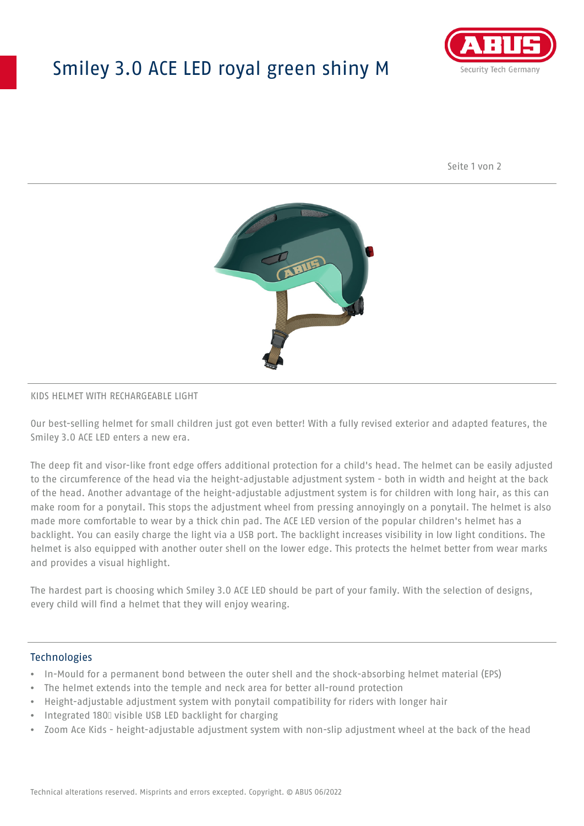# Smiley 3.0 ACE LED royal green shiny M



Seite 1 von 2



#### KIDS HELMET WITH RECHARGEABLE LIGHT

Our best-selling helmet for small children just got even better! With a fully revised exterior and adapted features, the Smiley 3.0 ACE LED enters a new era.

The deep fit and visor-like front edge offers additional protection for a child's head. The helmet can be easily adjusted to the circumference of the head via the height-adjustable adjustment system - both in width and height at the back of the head. Another advantage of the height-adjustable adjustment system is for children with long hair, as this can make room for a ponytail. This stops the adjustment wheel from pressing annoyingly on a ponytail. The helmet is also made more comfortable to wear by a thick chin pad. The ACE LED version of the popular children's helmet has a backlight. You can easily charge the light via a USB port. The backlight increases visibility in low light conditions. The helmet is also equipped with another outer shell on the lower edge. This protects the helmet better from wear marks and provides a visual highlight.

The hardest part is choosing which Smiley 3.0 ACE LED should be part of your family. With the selection of designs, every child will find a helmet that they will enjoy wearing.

### **Technologies**

- In-Mould for a permanent bond between the outer shell and the shock-absorbing helmet material (EPS)
- The helmet extends into the temple and neck area for better all-round protection
- Height-adjustable adjustment system with ponytail compatibility for riders with longer hair
- Integrated 180⁰ visible USB LED backlight for charging
- Zoom Ace Kids height-adjustable adjustment system with non-slip adjustment wheel at the back of the head